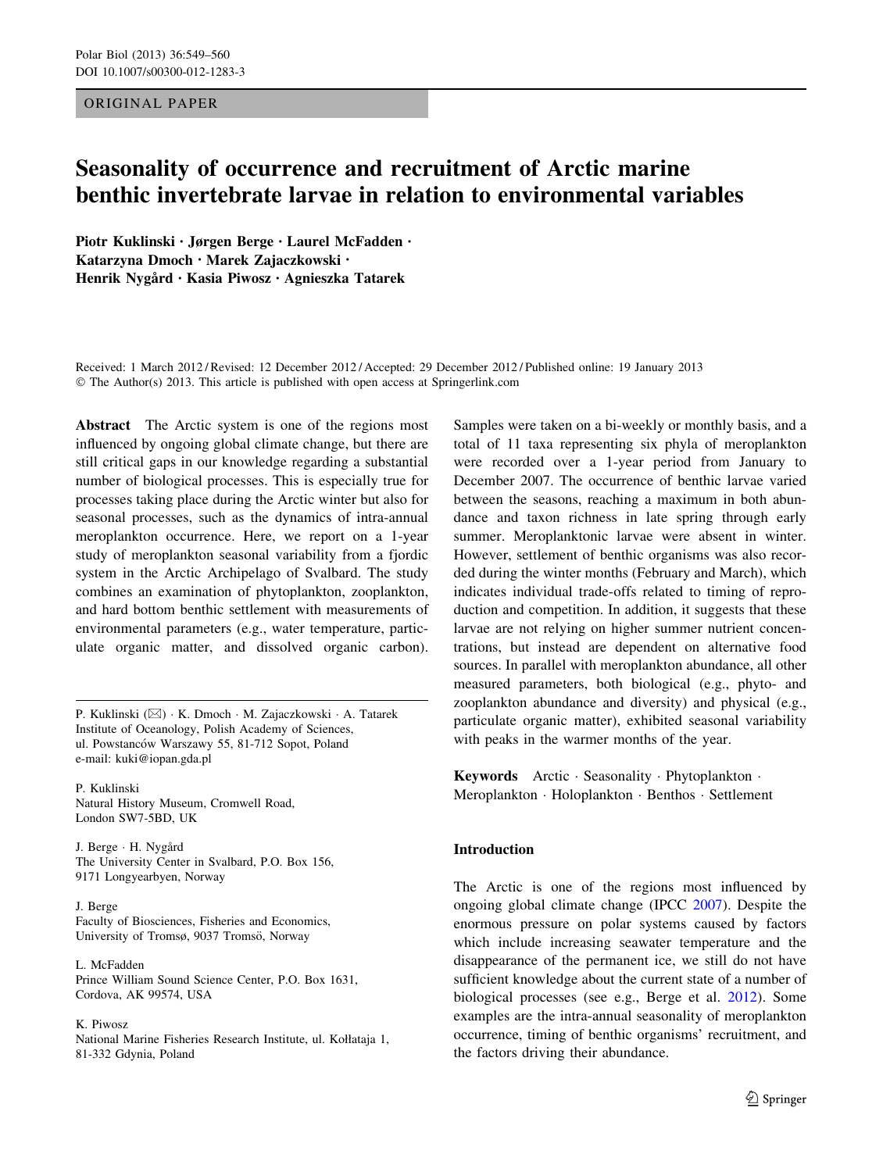# ORIGINAL PAPER

# Seasonality of occurrence and recruitment of Arctic marine benthic invertebrate larvae in relation to environmental variables

Piotr Kuklinski • Jørgen Berge • Laurel McFadden • Katarzyna Dmoch • Marek Zajaczkowski • Henrik Nygård · Kasia Piwosz · Agnieszka Tatarek

Received: 1 March 2012 / Revised: 12 December 2012 / Accepted: 29 December 2012 / Published online: 19 January 2013 © The Author(s) 2013. This article is published with open access at Springerlink.com

Abstract The Arctic system is one of the regions most influenced by ongoing global climate change, but there are still critical gaps in our knowledge regarding a substantial number of biological processes. This is especially true for processes taking place during the Arctic winter but also for seasonal processes, such as the dynamics of intra-annual meroplankton occurrence. Here, we report on a 1-year study of meroplankton seasonal variability from a fjordic system in the Arctic Archipelago of Svalbard. The study combines an examination of phytoplankton, zooplankton, and hard bottom benthic settlement with measurements of environmental parameters (e.g., water temperature, particulate organic matter, and dissolved organic carbon).

P. Kuklinski (⊠) · K. Dmoch · M. Zajaczkowski · A. Tatarek Institute of Oceanology, Polish Academy of Sciences, ul. Powstanców Warszawy 55, 81-712 Sopot, Poland e-mail: kuki@iopan.gda.pl

P. Kuklinski Natural History Museum, Cromwell Road, London SW7-5BD, UK

J. Berge · H. Nygård The University Center in Svalbard, P.O. Box 156, 9171 Longyearbyen, Norway

J. Berge Faculty of Biosciences, Fisheries and Economics, University of Tromsø, 9037 Tromsö, Norway

L. McFadden Prince William Sound Science Center, P.O. Box 1631, Cordova, AK 99574, USA

#### K. Piwosz

National Marine Fisheries Research Institute, ul. Kołłataja 1, 81-332 Gdynia, Poland

Samples were taken on a bi-weekly or monthly basis, and a total of 11 taxa representing six phyla of meroplankton were recorded over a 1-year period from January to December 2007. The occurrence of benthic larvae varied between the seasons, reaching a maximum in both abundance and taxon richness in late spring through early summer. Meroplanktonic larvae were absent in winter. However, settlement of benthic organisms was also recorded during the winter months (February and March), which indicates individual trade-offs related to timing of reproduction and competition. In addition, it suggests that these larvae are not relying on higher summer nutrient concentrations, but instead are dependent on alternative food sources. In parallel with meroplankton abundance, all other measured parameters, both biological (e.g., phyto- and zooplankton abundance and diversity) and physical (e.g., particulate organic matter), exhibited seasonal variability with peaks in the warmer months of the year.

Keywords Arctic · Seasonality · Phytoplankton · Meroplankton - Holoplankton - Benthos - Settlement

# Introduction

The Arctic is one of the regions most influenced by ongoing global climate change (IPCC [2007\)](#page-10-0). Despite the enormous pressure on polar systems caused by factors which include increasing seawater temperature and the disappearance of the permanent ice, we still do not have sufficient knowledge about the current state of a number of biological processes (see e.g., Berge et al. [2012](#page-10-0)). Some examples are the intra-annual seasonality of meroplankton occurrence, timing of benthic organisms' recruitment, and the factors driving their abundance.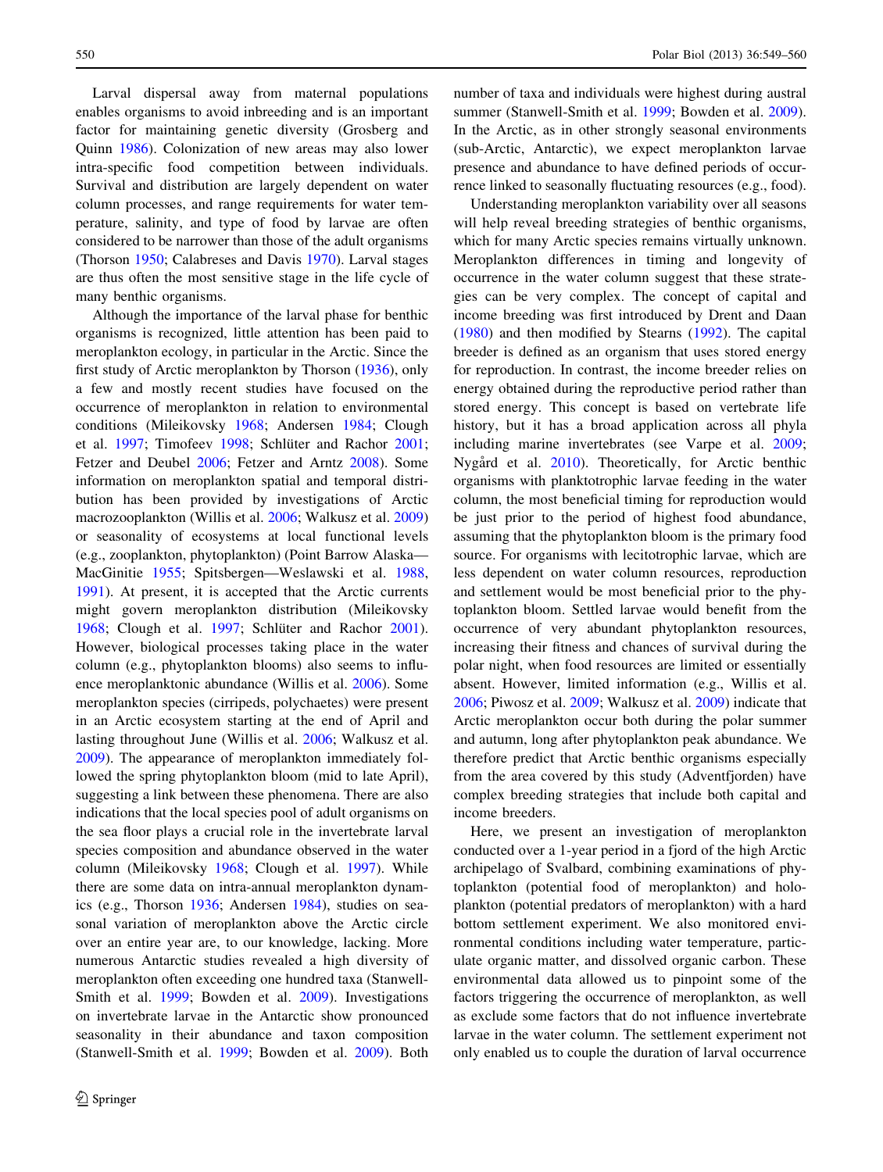Larval dispersal away from maternal populations enables organisms to avoid inbreeding and is an important factor for maintaining genetic diversity (Grosberg and Quinn [1986](#page-10-0)). Colonization of new areas may also lower intra-specific food competition between individuals. Survival and distribution are largely dependent on water column processes, and range requirements for water temperature, salinity, and type of food by larvae are often considered to be narrower than those of the adult organisms (Thorson [1950;](#page-11-0) Calabreses and Davis [1970\)](#page-10-0). Larval stages are thus often the most sensitive stage in the life cycle of many benthic organisms.

Although the importance of the larval phase for benthic organisms is recognized, little attention has been paid to meroplankton ecology, in particular in the Arctic. Since the first study of Arctic meroplankton by Thorson ([1936\)](#page-11-0), only a few and mostly recent studies have focused on the occurrence of meroplankton in relation to environmental conditions (Mileikovsky [1968](#page-10-0); Andersen [1984](#page-10-0); Clough et al. [1997](#page-10-0); Timofeev [1998](#page-11-0); Schlüter and Rachor [2001](#page-11-0); Fetzer and Deubel [2006;](#page-10-0) Fetzer and Arntz [2008](#page-10-0)). Some information on meroplankton spatial and temporal distribution has been provided by investigations of Arctic macrozooplankton (Willis et al. [2006;](#page-11-0) Walkusz et al. [2009\)](#page-11-0) or seasonality of ecosystems at local functional levels (e.g., zooplankton, phytoplankton) (Point Barrow Alaska— MacGinitie [1955](#page-10-0); Spitsbergen—Weslawski et al. [1988,](#page-11-0) [1991\)](#page-11-0). At present, it is accepted that the Arctic currents might govern meroplankton distribution (Mileikovsky [1968;](#page-10-0) Clough et al. [1997](#page-10-0); Schlüter and Rachor [2001](#page-11-0)). However, biological processes taking place in the water column (e.g., phytoplankton blooms) also seems to influence meroplanktonic abundance (Willis et al. [2006\)](#page-11-0). Some meroplankton species (cirripeds, polychaetes) were present in an Arctic ecosystem starting at the end of April and lasting throughout June (Willis et al. [2006](#page-11-0); Walkusz et al. [2009\)](#page-11-0). The appearance of meroplankton immediately followed the spring phytoplankton bloom (mid to late April), suggesting a link between these phenomena. There are also indications that the local species pool of adult organisms on the sea floor plays a crucial role in the invertebrate larval species composition and abundance observed in the water column (Mileikovsky [1968;](#page-10-0) Clough et al. [1997\)](#page-10-0). While there are some data on intra-annual meroplankton dynamics (e.g., Thorson [1936;](#page-11-0) Andersen [1984](#page-10-0)), studies on seasonal variation of meroplankton above the Arctic circle over an entire year are, to our knowledge, lacking. More numerous Antarctic studies revealed a high diversity of meroplankton often exceeding one hundred taxa (Stanwell-Smith et al. [1999;](#page-11-0) Bowden et al. [2009\)](#page-10-0). Investigations on invertebrate larvae in the Antarctic show pronounced seasonality in their abundance and taxon composition (Stanwell-Smith et al. [1999;](#page-11-0) Bowden et al. [2009](#page-10-0)). Both number of taxa and individuals were highest during austral summer (Stanwell-Smith et al. [1999](#page-11-0); Bowden et al. [2009](#page-10-0)). In the Arctic, as in other strongly seasonal environments (sub-Arctic, Antarctic), we expect meroplankton larvae presence and abundance to have defined periods of occurrence linked to seasonally fluctuating resources (e.g., food).

Understanding meroplankton variability over all seasons will help reveal breeding strategies of benthic organisms, which for many Arctic species remains virtually unknown. Meroplankton differences in timing and longevity of occurrence in the water column suggest that these strategies can be very complex. The concept of capital and income breeding was first introduced by Drent and Daan [\(1980](#page-10-0)) and then modified by Stearns ([1992\)](#page-11-0). The capital breeder is defined as an organism that uses stored energy for reproduction. In contrast, the income breeder relies on energy obtained during the reproductive period rather than stored energy. This concept is based on vertebrate life history, but it has a broad application across all phyla including marine invertebrates (see Varpe et al. [2009](#page-11-0); Nygård et al. [2010\)](#page-10-0). Theoretically, for Arctic benthic organisms with planktotrophic larvae feeding in the water column, the most beneficial timing for reproduction would be just prior to the period of highest food abundance, assuming that the phytoplankton bloom is the primary food source. For organisms with lecitotrophic larvae, which are less dependent on water column resources, reproduction and settlement would be most beneficial prior to the phytoplankton bloom. Settled larvae would benefit from the occurrence of very abundant phytoplankton resources, increasing their fitness and chances of survival during the polar night, when food resources are limited or essentially absent. However, limited information (e.g., Willis et al. [2006](#page-11-0); Piwosz et al. [2009;](#page-11-0) Walkusz et al. [2009](#page-11-0)) indicate that Arctic meroplankton occur both during the polar summer and autumn, long after phytoplankton peak abundance. We therefore predict that Arctic benthic organisms especially from the area covered by this study (Adventfjorden) have complex breeding strategies that include both capital and income breeders.

Here, we present an investigation of meroplankton conducted over a 1-year period in a fjord of the high Arctic archipelago of Svalbard, combining examinations of phytoplankton (potential food of meroplankton) and holoplankton (potential predators of meroplankton) with a hard bottom settlement experiment. We also monitored environmental conditions including water temperature, particulate organic matter, and dissolved organic carbon. These environmental data allowed us to pinpoint some of the factors triggering the occurrence of meroplankton, as well as exclude some factors that do not influence invertebrate larvae in the water column. The settlement experiment not only enabled us to couple the duration of larval occurrence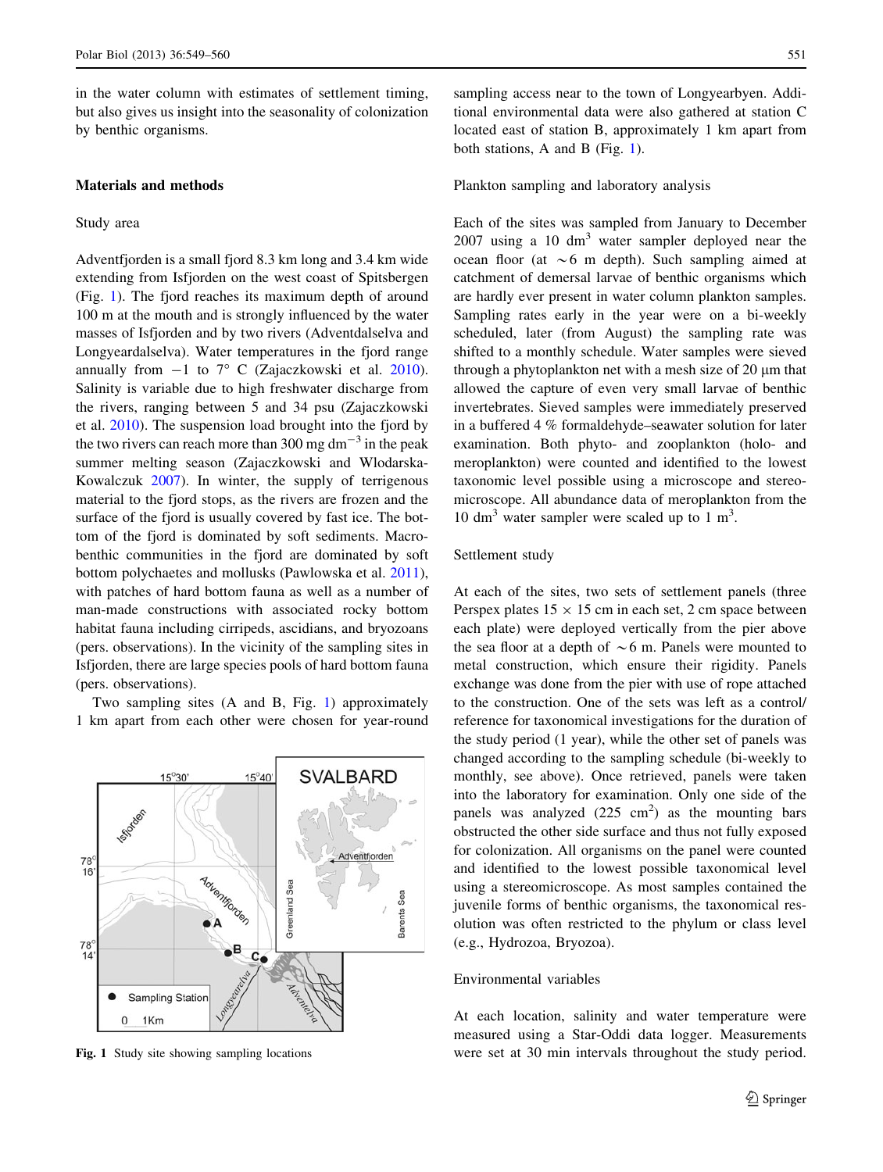<span id="page-2-0"></span>in the water column with estimates of settlement timing, but also gives us insight into the seasonality of colonization by benthic organisms.

### Materials and methods

#### Study area

Adventfjorden is a small fjord 8.3 km long and 3.4 km wide extending from Isfjorden on the west coast of Spitsbergen (Fig. 1). The fjord reaches its maximum depth of around 100 m at the mouth and is strongly influenced by the water masses of Isfjorden and by two rivers (Adventdalselva and Longyeardalselva). Water temperatures in the fjord range annually from  $-1$  to  $7^{\circ}$  C (Zajaczkowski et al. [2010](#page-11-0)). Salinity is variable due to high freshwater discharge from the rivers, ranging between 5 and 34 psu (Zajaczkowski et al. [2010](#page-11-0)). The suspension load brought into the fjord by the two rivers can reach more than 300 mg dm<sup> $^{-3}$ </sup> in the peak summer melting season (Zajaczkowski and Wlodarska-Kowalczuk [2007](#page-11-0)). In winter, the supply of terrigenous material to the fjord stops, as the rivers are frozen and the surface of the fjord is usually covered by fast ice. The bottom of the fjord is dominated by soft sediments. Macrobenthic communities in the fjord are dominated by soft bottom polychaetes and mollusks (Pawlowska et al. [2011](#page-10-0)), with patches of hard bottom fauna as well as a number of man-made constructions with associated rocky bottom habitat fauna including cirripeds, ascidians, and bryozoans (pers. observations). In the vicinity of the sampling sites in Isfjorden, there are large species pools of hard bottom fauna (pers. observations).

Two sampling sites (A and B, Fig. 1) approximately 1 km apart from each other were chosen for year-round



sampling access near to the town of Longyearbyen. Additional environmental data were also gathered at station C located east of station B, approximately 1 km apart from both stations, A and B (Fig. 1).

#### Plankton sampling and laboratory analysis

Each of the sites was sampled from January to December  $2007$  using a 10 dm<sup>3</sup> water sampler deployed near the ocean floor (at  $\sim$  6 m depth). Such sampling aimed at catchment of demersal larvae of benthic organisms which are hardly ever present in water column plankton samples. Sampling rates early in the year were on a bi-weekly scheduled, later (from August) the sampling rate was shifted to a monthly schedule. Water samples were sieved through a phytoplankton net with a mesh size of  $20 \mu m$  that allowed the capture of even very small larvae of benthic invertebrates. Sieved samples were immediately preserved in a buffered 4 % formaldehyde–seawater solution for later examination. Both phyto- and zooplankton (holo- and meroplankton) were counted and identified to the lowest taxonomic level possible using a microscope and stereomicroscope. All abundance data of meroplankton from the 10 dm<sup>3</sup> water sampler were scaled up to 1 m<sup>3</sup>.

# Settlement study

At each of the sites, two sets of settlement panels (three Perspex plates  $15 \times 15$  cm in each set, 2 cm space between each plate) were deployed vertically from the pier above the sea floor at a depth of  $\sim$  6 m. Panels were mounted to metal construction, which ensure their rigidity. Panels exchange was done from the pier with use of rope attached to the construction. One of the sets was left as a control/ reference for taxonomical investigations for the duration of the study period (1 year), while the other set of panels was changed according to the sampling schedule (bi-weekly to monthly, see above). Once retrieved, panels were taken into the laboratory for examination. Only one side of the panels was analyzed  $(225 \text{ cm}^2)$  as the mounting bars obstructed the other side surface and thus not fully exposed for colonization. All organisms on the panel were counted and identified to the lowest possible taxonomical level using a stereomicroscope. As most samples contained the juvenile forms of benthic organisms, the taxonomical resolution was often restricted to the phylum or class level (e.g., Hydrozoa, Bryozoa).

### Environmental variables

At each location, salinity and water temperature were measured using a Star-Oddi data logger. Measurements Fig. 1 Study site showing sampling locations were set at 30 min intervals throughout the study period.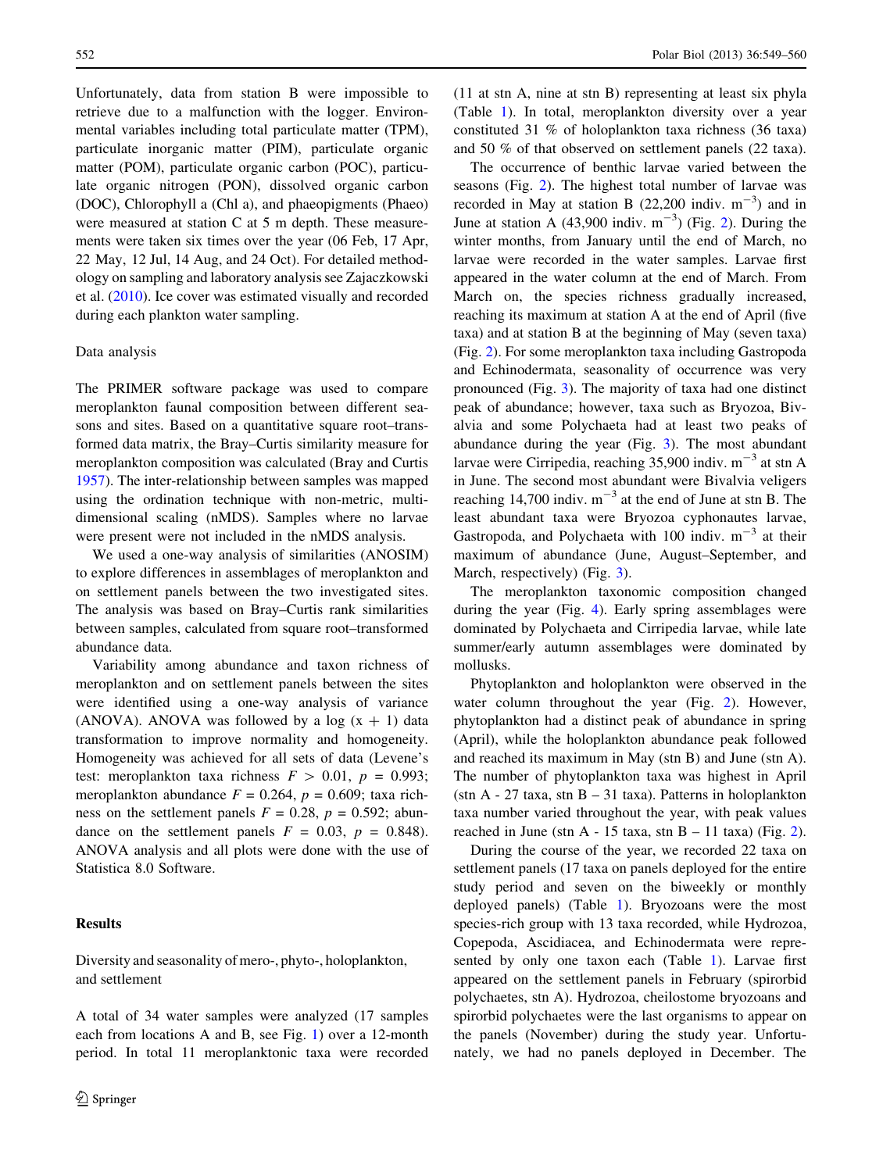Unfortunately, data from station B were impossible to retrieve due to a malfunction with the logger. Environmental variables including total particulate matter (TPM), particulate inorganic matter (PIM), particulate organic matter (POM), particulate organic carbon (POC), particulate organic nitrogen (PON), dissolved organic carbon (DOC), Chlorophyll a (Chl a), and phaeopigments (Phaeo) were measured at station C at 5 m depth. These measurements were taken six times over the year (06 Feb, 17 Apr, 22 May, 12 Jul, 14 Aug, and 24 Oct). For detailed methodology on sampling and laboratory analysis see Zajaczkowski et al. [\(2010](#page-11-0)). Ice cover was estimated visually and recorded during each plankton water sampling.

#### Data analysis

The PRIMER software package was used to compare meroplankton faunal composition between different seasons and sites. Based on a quantitative square root–transformed data matrix, the Bray–Curtis similarity measure for meroplankton composition was calculated (Bray and Curtis [1957\)](#page-10-0). The inter-relationship between samples was mapped using the ordination technique with non-metric, multidimensional scaling (nMDS). Samples where no larvae were present were not included in the nMDS analysis.

We used a one-way analysis of similarities (ANOSIM) to explore differences in assemblages of meroplankton and on settlement panels between the two investigated sites. The analysis was based on Bray–Curtis rank similarities between samples, calculated from square root–transformed abundance data.

Variability among abundance and taxon richness of meroplankton and on settlement panels between the sites were identified using a one-way analysis of variance (ANOVA). ANOVA was followed by a log  $(x + 1)$  data transformation to improve normality and homogeneity. Homogeneity was achieved for all sets of data (Levene's test: meroplankton taxa richness  $F > 0.01$ ,  $p = 0.993$ ; meroplankton abundance  $F = 0.264$ ,  $p = 0.609$ ; taxa richness on the settlement panels  $F = 0.28$ ,  $p = 0.592$ ; abundance on the settlement panels  $F = 0.03$ ,  $p = 0.848$ . ANOVA analysis and all plots were done with the use of Statistica 8.0 Software.

### Results

Diversity and seasonality of mero-, phyto-, holoplankton, and settlement

A total of 34 water samples were analyzed (17 samples each from locations A and B, see Fig. [1](#page-2-0)) over a 12-month period. In total 11 meroplanktonic taxa were recorded (11 at stn A, nine at stn B) representing at least six phyla (Table [1\)](#page-4-0). In total, meroplankton diversity over a year constituted 31 % of holoplankton taxa richness (36 taxa) and 50 % of that observed on settlement panels (22 taxa).

The occurrence of benthic larvae varied between the seasons (Fig. [2\)](#page-5-0). The highest total number of larvae was recorded in May at station B  $(22,200 \text{ indiv. m}^{-3})$  and in June at station A (43,900 indiv.  $m^{-3}$ ) (Fig. [2](#page-5-0)). During the winter months, from January until the end of March, no larvae were recorded in the water samples. Larvae first appeared in the water column at the end of March. From March on, the species richness gradually increased, reaching its maximum at station A at the end of April (five taxa) and at station B at the beginning of May (seven taxa) (Fig. [2\)](#page-5-0). For some meroplankton taxa including Gastropoda and Echinodermata, seasonality of occurrence was very pronounced (Fig. [3\)](#page-6-0). The majority of taxa had one distinct peak of abundance; however, taxa such as Bryozoa, Bivalvia and some Polychaeta had at least two peaks of abundance during the year (Fig. [3](#page-6-0)). The most abundant larvae were Cirripedia, reaching  $35,900$  indiv. m<sup>-3</sup> at stn A in June. The second most abundant were Bivalvia veligers reaching 14,700 indiv.  $m^{-3}$  at the end of June at stn B. The least abundant taxa were Bryozoa cyphonautes larvae, Gastropoda, and Polychaeta with 100 indiv.  $m^{-3}$  at their maximum of abundance (June, August–September, and March, respectively) (Fig. [3\)](#page-6-0).

The meroplankton taxonomic composition changed during the year (Fig. [4](#page-7-0)). Early spring assemblages were dominated by Polychaeta and Cirripedia larvae, while late summer/early autumn assemblages were dominated by mollusks.

Phytoplankton and holoplankton were observed in the water column throughout the year (Fig. [2](#page-5-0)). However, phytoplankton had a distinct peak of abundance in spring (April), while the holoplankton abundance peak followed and reached its maximum in May (stn B) and June (stn A). The number of phytoplankton taxa was highest in April (stn A - 27 taxa, stn B - 31 taxa). Patterns in holoplankton taxa number varied throughout the year, with peak values reached in June (stn A - 15 taxa, stn B  $-$  11 taxa) (Fig. [2](#page-5-0)).

During the course of the year, we recorded 22 taxa on settlement panels (17 taxa on panels deployed for the entire study period and seven on the biweekly or monthly deployed panels) (Table [1\)](#page-4-0). Bryozoans were the most species-rich group with 13 taxa recorded, while Hydrozoa, Copepoda, Ascidiacea, and Echinodermata were represented by only one taxon each (Table [1](#page-4-0)). Larvae first appeared on the settlement panels in February (spirorbid polychaetes, stn A). Hydrozoa, cheilostome bryozoans and spirorbid polychaetes were the last organisms to appear on the panels (November) during the study year. Unfortunately, we had no panels deployed in December. The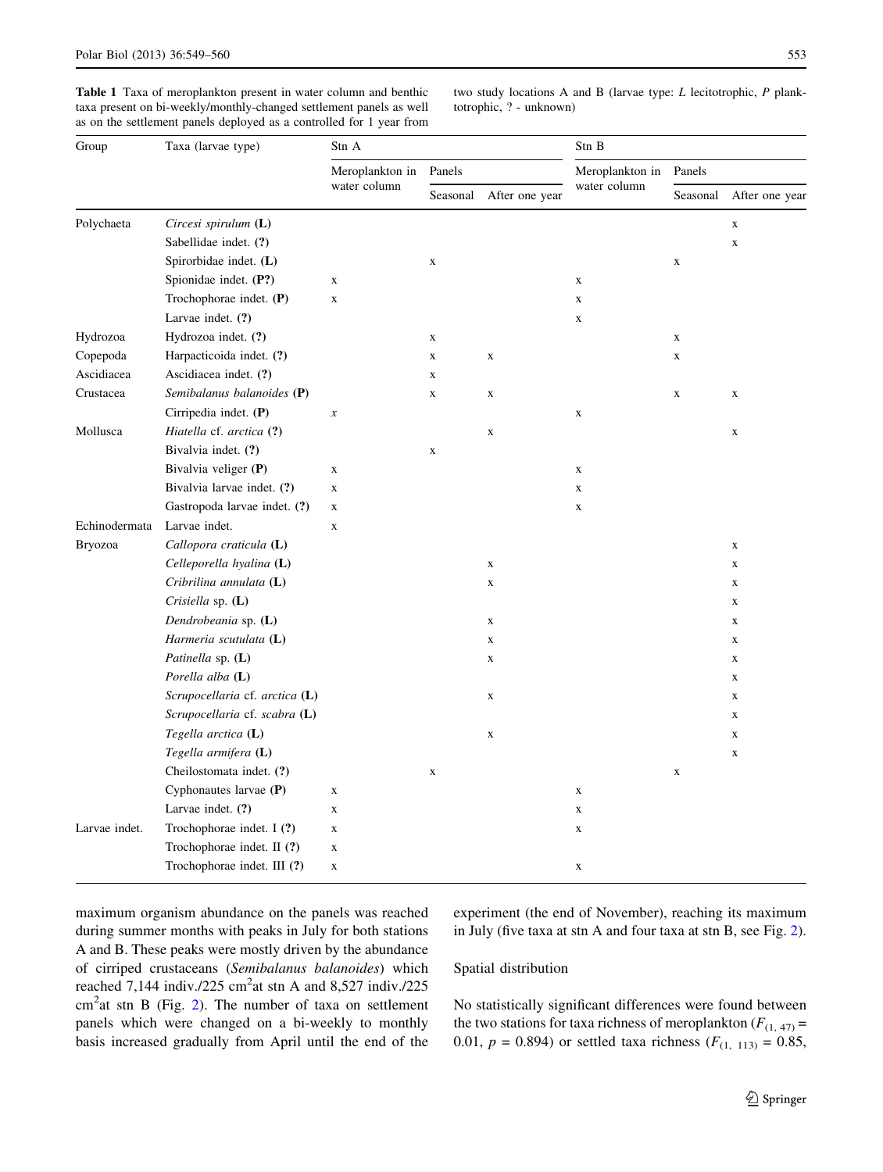<span id="page-4-0"></span>Table 1 Taxa of meroplankton present in water column and benthic taxa present on bi-weekly/monthly-changed settlement panels as well as on the settlement panels deployed as a controlled for 1 year from two study locations A and B (larvae type: L lecitotrophic, P planktotrophic, ? - unknown)

| Group         | Taxa (larvae type)             | Stn A                           |             |                | Stn B           |             |                |
|---------------|--------------------------------|---------------------------------|-------------|----------------|-----------------|-------------|----------------|
|               |                                | Meroplankton in<br>water column | Panels      |                | Meroplankton in | Panels      |                |
|               |                                |                                 | Seasonal    | After one year | water column    | Seasonal    | After one year |
| Polychaeta    | Circesi spirulum (L)           |                                 |             |                |                 |             | X              |
|               | Sabellidae indet. (?)          |                                 |             |                |                 |             | $\mathbf X$    |
|               | Spirorbidae indet. (L)         |                                 | $\mathbf X$ |                |                 | $\mathbf X$ |                |
|               | Spionidae indet. (P?)          | $\mathbf X$                     |             |                | $\mathbf X$     |             |                |
|               | Trochophorae indet. (P)        | $\mathbf X$                     |             |                | $\mathbf X$     |             |                |
|               | Larvae indet. $(?)$            |                                 |             |                | $\mathbf X$     |             |                |
| Hydrozoa      | Hydrozoa indet. (?)            |                                 | $\mathbf X$ |                |                 | $\mathbf X$ |                |
| Copepoda      | Harpacticoida indet. (?)       |                                 | $\mathbf X$ | $\mathbf X$    |                 | $\mathbf X$ |                |
| Ascidiacea    | Ascidiacea indet. (?)          |                                 | $\mathbf X$ |                |                 |             |                |
| Crustacea     | Semibalanus balanoides (P)     |                                 | $\mathbf X$ | $\mathbf X$    |                 | $\mathbf X$ | $\mathbf X$    |
|               | Cirripedia indet. (P)          | $\boldsymbol{x}$                |             |                | $\mathbf X$     |             |                |
| Mollusca      | Hiatella cf. arctica (?)       |                                 |             | $\mathbf X$    |                 |             | $\mathbf X$    |
|               | Bivalvia indet. (?)            |                                 | $\mathbf X$ |                |                 |             |                |
|               | Bivalvia veliger (P)           | $\mathbf X$                     |             |                | $\mathbf X$     |             |                |
|               | Bivalvia larvae indet. (?)     | $\mathbf X$                     |             |                | $\mathbf X$     |             |                |
|               | Gastropoda larvae indet. (?)   | X                               |             |                | $\mathbf X$     |             |                |
| Echinodermata | Larvae indet.                  | $\mathbf X$                     |             |                |                 |             |                |
| Bryozoa       | Callopora craticula (L)        |                                 |             |                |                 |             | $\mathbf X$    |
|               | Celleporella hyalina $(L)$     |                                 |             | $\mathbf X$    |                 |             | $\mathbf X$    |
|               | Cribrilina annulata (L)        |                                 |             | $\mathbf X$    |                 |             | $\mathbf x$    |
|               | Crisiella sp. $(L)$            |                                 |             |                |                 |             | $\mathbf X$    |
|               | Dendrobeania sp. (L)           |                                 |             | $\mathbf X$    |                 |             | X              |
|               | Harmeria scutulata (L)         |                                 |             | $\mathbf X$    |                 |             | $\mathbf X$    |
|               | Patinella sp. $(L)$            |                                 |             | $\mathbf X$    |                 |             | X              |
|               | Porella alba (L)               |                                 |             |                |                 |             | X              |
|               | Scrupocellaria cf. arctica (L) |                                 |             | $\mathbf X$    |                 |             | $\mathbf X$    |
|               | Scrupocellaria cf. scabra (L)  |                                 |             |                |                 |             | $\mathbf X$    |
|               | Tegella arctica (L)            |                                 |             | $\mathbf X$    |                 |             | $\mathbf X$    |
|               | Tegella armifera (L)           |                                 |             |                |                 |             | X              |
|               | Cheilostomata indet. (?)       |                                 | $\mathbf X$ |                |                 | $\mathbf X$ |                |
|               | Cyphonautes larvae (P)         | $\mathbf X$                     |             |                | $\mathbf X$     |             |                |
|               | Larvae indet. (?)              | $\mathbf X$                     |             |                | $\mathbf X$     |             |                |
| Larvae indet. | Trochophorae indet. I (?)      | $\mathbf X$                     |             |                | $\mathbf X$     |             |                |
|               | Trochophorae indet. II (?)     | $\mathbf X$                     |             |                |                 |             |                |
|               | Trochophorae indet. III (?)    | X                               |             |                | $\mathbf X$     |             |                |

maximum organism abundance on the panels was reached during summer months with peaks in July for both stations A and B. These peaks were mostly driven by the abundance of cirriped crustaceans (Semibalanus balanoides) which reached  $7,144$  indiv./225 cm<sup>2</sup>at stn A and 8,527 indiv./225  $cm<sup>2</sup>$  $cm<sup>2</sup>$  $cm<sup>2</sup>$ at stn B (Fig. 2). The number of taxa on settlement panels which were changed on a bi-weekly to monthly basis increased gradually from April until the end of the experiment (the end of November), reaching its maximum in July (five taxa at stn A and four taxa at stn B, see Fig. [2](#page-5-0)).

#### Spatial distribution

No statistically significant differences were found between the two stations for taxa richness of meroplankton ( $F_{(1, 47)}$  = 0.01,  $p = 0.894$ ) or settled taxa richness ( $F_{(1, 113)} = 0.85$ ,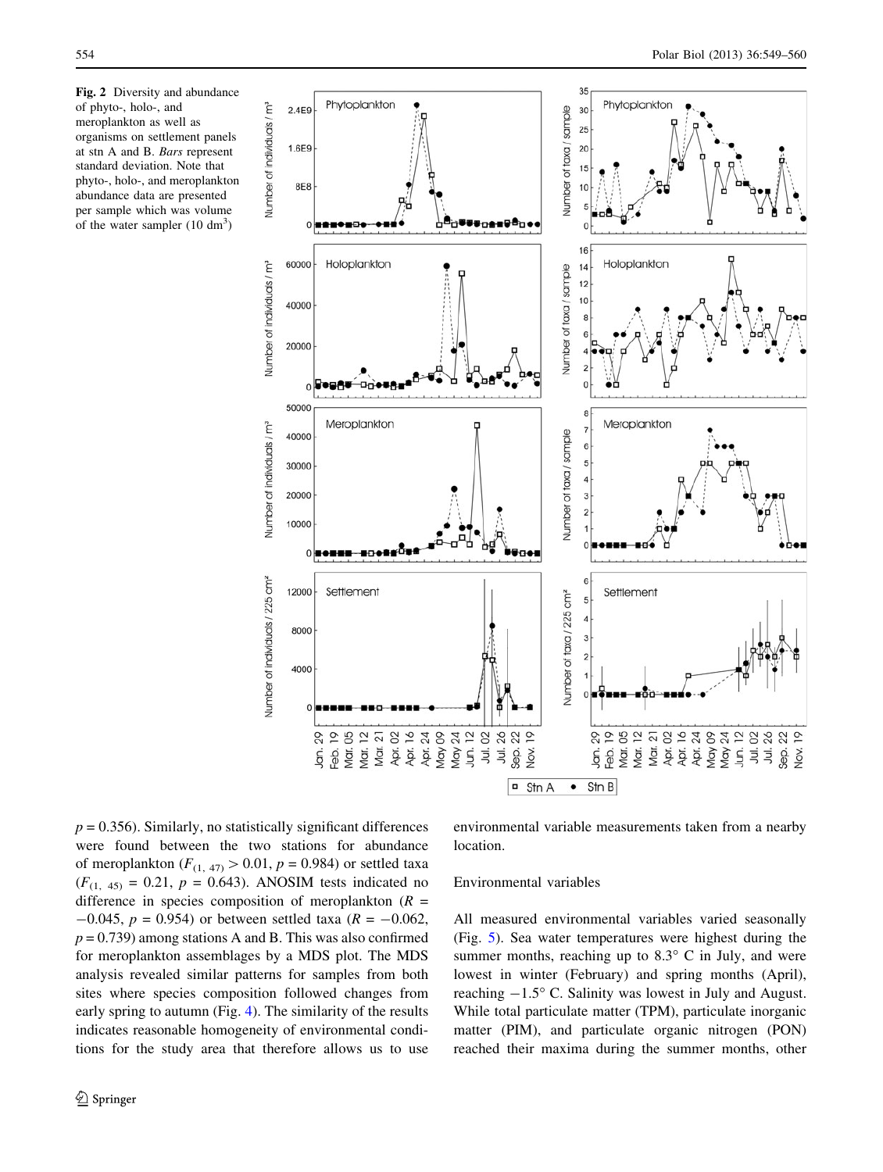<span id="page-5-0"></span>Fig. 2 Diversity and abundance of phyto-, holo-, and meroplankton as well as organisms on settlement panels at stn A and B. Bars represent standard deviation. Note that phyto-, holo-, and meroplankton abundance data are presented per sample which was volume of the water sampler  $(10 \text{ dm}^3)$ 



 $p = 0.356$ . Similarly, no statistically significant differences were found between the two stations for abundance of meroplankton ( $F_{(1, 47)} > 0.01$ ,  $p = 0.984$ ) or settled taxa  $(F_{(1, 45)} = 0.21, p = 0.643)$ . ANOSIM tests indicated no difference in species composition of meroplankton  $(R =$  $-0.045$ ,  $p = 0.954$ ) or between settled taxa ( $R = -0.062$ ,  $p = 0.739$ ) among stations A and B. This was also confirmed for meroplankton assemblages by a MDS plot. The MDS analysis revealed similar patterns for samples from both sites where species composition followed changes from early spring to autumn (Fig. [4](#page-7-0)). The similarity of the results indicates reasonable homogeneity of environmental conditions for the study area that therefore allows us to use

environmental variable measurements taken from a nearby location.

# Environmental variables

All measured environmental variables varied seasonally (Fig. [5](#page-8-0)). Sea water temperatures were highest during the summer months, reaching up to  $8.3^\circ$  C in July, and were lowest in winter (February) and spring months (April), reaching  $-1.5^\circ$  C. Salinity was lowest in July and August. While total particulate matter (TPM), particulate inorganic matter (PIM), and particulate organic nitrogen (PON) reached their maxima during the summer months, other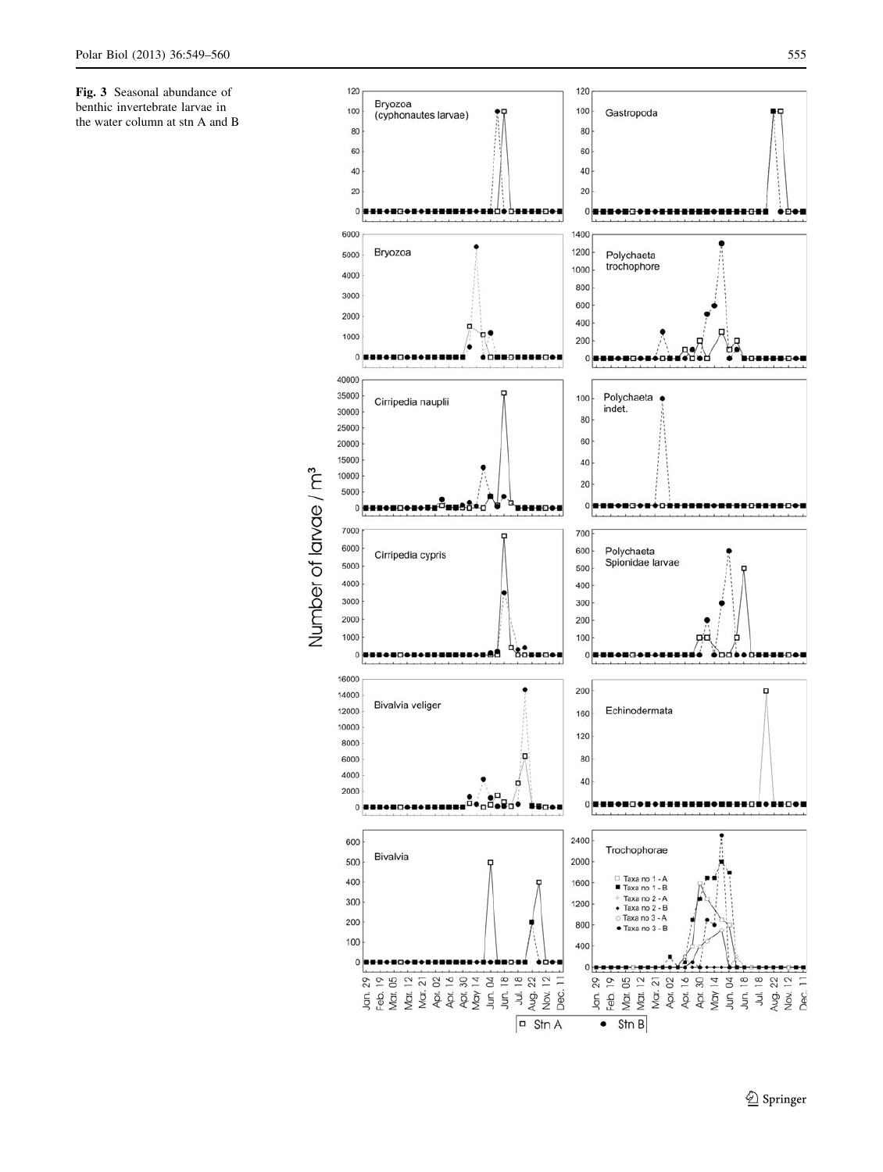<span id="page-6-0"></span>Fig. 3 Seasonal abundance of benthic invertebrate larvae in the water column at stn A and B

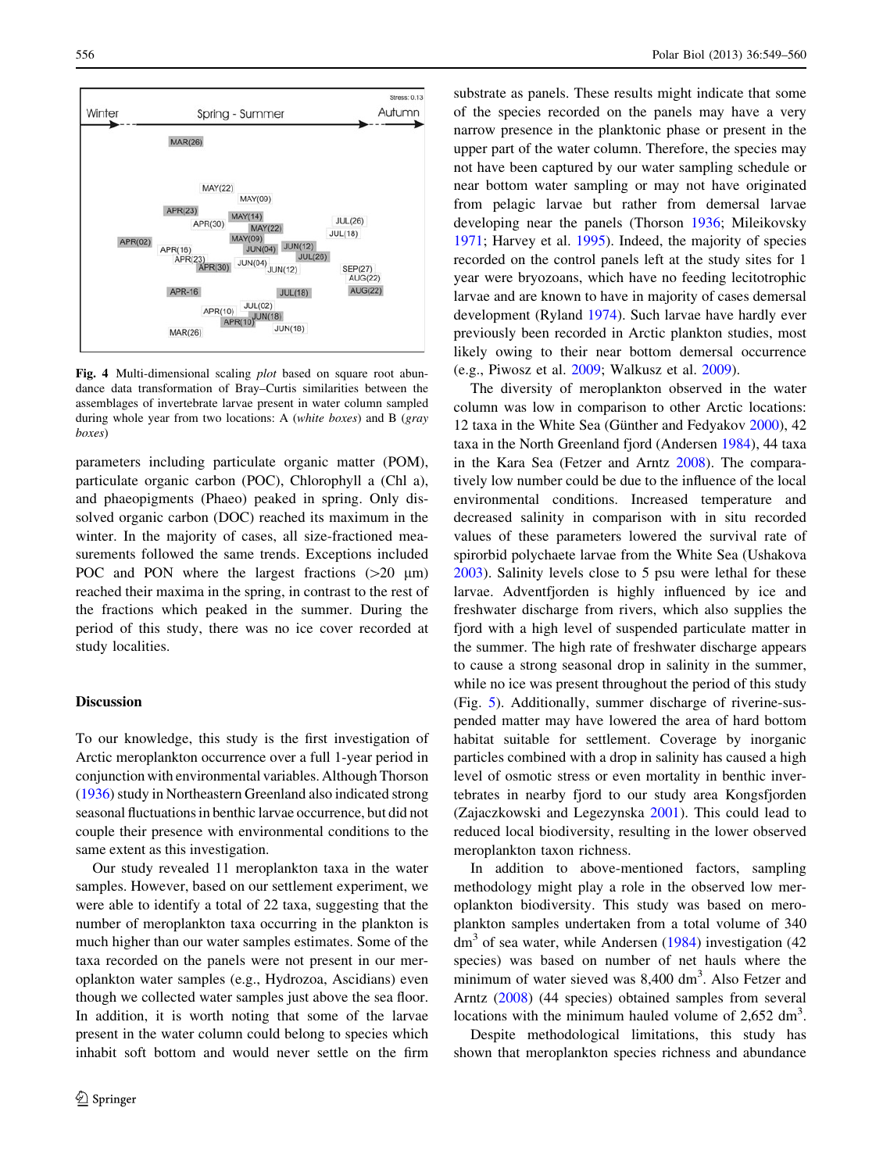<span id="page-7-0"></span>

Fig. 4 Multi-dimensional scaling *plot* based on square root abundance data transformation of Bray–Curtis similarities between the assemblages of invertebrate larvae present in water column sampled during whole year from two locations: A (white boxes) and B (gray boxes)

parameters including particulate organic matter (POM), particulate organic carbon (POC), Chlorophyll a (Chl a), and phaeopigments (Phaeo) peaked in spring. Only dissolved organic carbon (DOC) reached its maximum in the winter. In the majority of cases, all size-fractioned measurements followed the same trends. Exceptions included POC and PON where the largest fractions  $(>20 \mu m)$ reached their maxima in the spring, in contrast to the rest of the fractions which peaked in the summer. During the period of this study, there was no ice cover recorded at study localities.

#### Discussion

To our knowledge, this study is the first investigation of Arctic meroplankton occurrence over a full 1-year period in conjunction with environmental variables. Although Thorson [\(1936](#page-11-0)) study in Northeastern Greenland also indicated strong seasonal fluctuations in benthic larvae occurrence, but did not couple their presence with environmental conditions to the same extent as this investigation.

Our study revealed 11 meroplankton taxa in the water samples. However, based on our settlement experiment, we were able to identify a total of 22 taxa, suggesting that the number of meroplankton taxa occurring in the plankton is much higher than our water samples estimates. Some of the taxa recorded on the panels were not present in our meroplankton water samples (e.g., Hydrozoa, Ascidians) even though we collected water samples just above the sea floor. In addition, it is worth noting that some of the larvae present in the water column could belong to species which inhabit soft bottom and would never settle on the firm substrate as panels. These results might indicate that some of the species recorded on the panels may have a very narrow presence in the planktonic phase or present in the upper part of the water column. Therefore, the species may not have been captured by our water sampling schedule or near bottom water sampling or may not have originated from pelagic larvae but rather from demersal larvae developing near the panels (Thorson [1936](#page-11-0); Mileikovsky [1971](#page-10-0); Harvey et al. [1995\)](#page-10-0). Indeed, the majority of species recorded on the control panels left at the study sites for 1 year were bryozoans, which have no feeding lecitotrophic larvae and are known to have in majority of cases demersal development (Ryland [1974](#page-11-0)). Such larvae have hardly ever previously been recorded in Arctic plankton studies, most likely owing to their near bottom demersal occurrence (e.g., Piwosz et al. [2009;](#page-11-0) Walkusz et al. [2009\)](#page-11-0).

The diversity of meroplankton observed in the water column was low in comparison to other Arctic locations: 12 taxa in the White Sea (Günther and Fedyakov [2000\)](#page-10-0), 42 taxa in the North Greenland fjord (Andersen [1984\)](#page-10-0), 44 taxa in the Kara Sea (Fetzer and Arntz [2008](#page-10-0)). The comparatively low number could be due to the influence of the local environmental conditions. Increased temperature and decreased salinity in comparison with in situ recorded values of these parameters lowered the survival rate of spirorbid polychaete larvae from the White Sea (Ushakova [2003](#page-11-0)). Salinity levels close to 5 psu were lethal for these larvae. Adventfjorden is highly influenced by ice and freshwater discharge from rivers, which also supplies the fjord with a high level of suspended particulate matter in the summer. The high rate of freshwater discharge appears to cause a strong seasonal drop in salinity in the summer, while no ice was present throughout the period of this study (Fig. [5\)](#page-8-0). Additionally, summer discharge of riverine-suspended matter may have lowered the area of hard bottom habitat suitable for settlement. Coverage by inorganic particles combined with a drop in salinity has caused a high level of osmotic stress or even mortality in benthic invertebrates in nearby fjord to our study area Kongsfjorden (Zajaczkowski and Legezynska [2001\)](#page-11-0). This could lead to reduced local biodiversity, resulting in the lower observed meroplankton taxon richness.

In addition to above-mentioned factors, sampling methodology might play a role in the observed low meroplankton biodiversity. This study was based on meroplankton samples undertaken from a total volume of 340  $dm<sup>3</sup>$  of sea water, while Andersen [\(1984\)](#page-10-0) investigation (42) species) was based on number of net hauls where the minimum of water sieved was 8,400 dm<sup>3</sup>. Also Fetzer and Arntz [\(2008](#page-10-0)) (44 species) obtained samples from several locations with the minimum hauled volume of  $2,652 \text{ dm}^3$ .

Despite methodological limitations, this study has shown that meroplankton species richness and abundance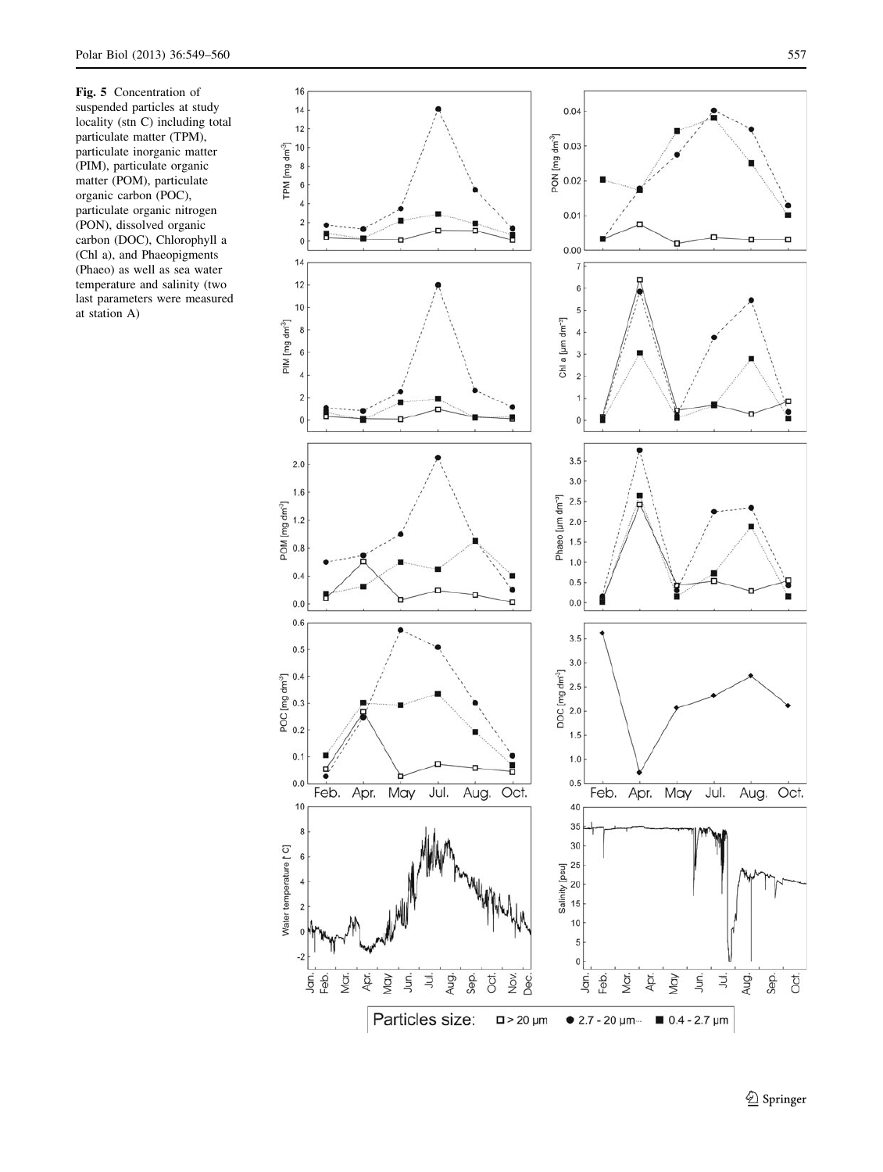<span id="page-8-0"></span>Fig. 5 Concentration of suspended particles at study locality (stn C) including total particulate matter (TPM), particulate inorganic matter (PIM), particulate organic matter (POM), particulate organic carbon (POC), particulate organic nitrogen (PON), dissolved organic carbon (DOC), Chlorophyll a (Chl a), and Phaeopigments (Phaeo) as well as sea water temperature and salinity (two last parameters were measured at station A)

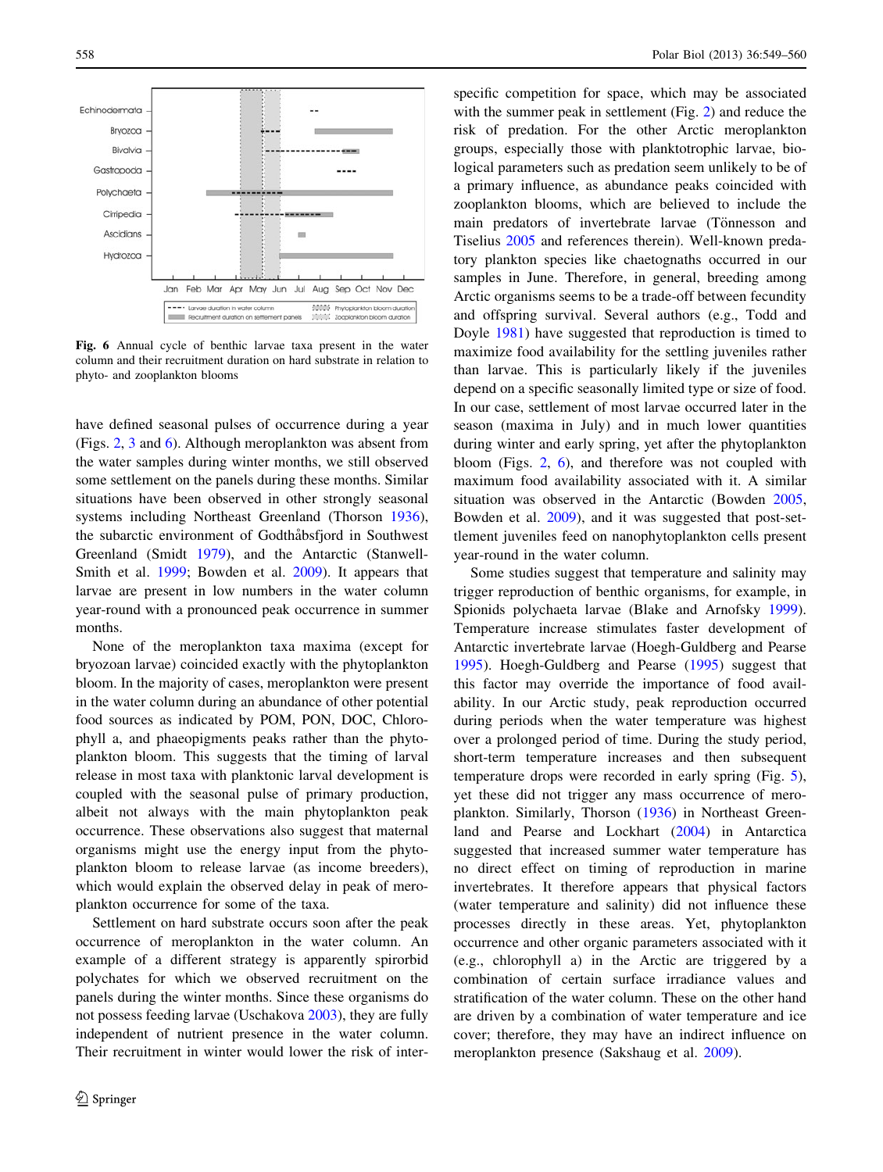<span id="page-9-0"></span>

Fig. 6 Annual cycle of benthic larvae taxa present in the water column and their recruitment duration on hard substrate in relation to phyto- and zooplankton blooms

have defined seasonal pulses of occurrence during a year (Figs. [2,](#page-5-0) [3](#page-6-0) and 6). Although meroplankton was absent from the water samples during winter months, we still observed some settlement on the panels during these months. Similar situations have been observed in other strongly seasonal systems including Northeast Greenland (Thorson [1936](#page-11-0)), the subarctic environment of Godthåbsfjord in Southwest Greenland (Smidt [1979](#page-11-0)), and the Antarctic (Stanwell-Smith et al. [1999;](#page-11-0) Bowden et al. [2009\)](#page-10-0). It appears that larvae are present in low numbers in the water column year-round with a pronounced peak occurrence in summer months.

None of the meroplankton taxa maxima (except for bryozoan larvae) coincided exactly with the phytoplankton bloom. In the majority of cases, meroplankton were present in the water column during an abundance of other potential food sources as indicated by POM, PON, DOC, Chlorophyll a, and phaeopigments peaks rather than the phytoplankton bloom. This suggests that the timing of larval release in most taxa with planktonic larval development is coupled with the seasonal pulse of primary production, albeit not always with the main phytoplankton peak occurrence. These observations also suggest that maternal organisms might use the energy input from the phytoplankton bloom to release larvae (as income breeders), which would explain the observed delay in peak of meroplankton occurrence for some of the taxa.

Settlement on hard substrate occurs soon after the peak occurrence of meroplankton in the water column. An example of a different strategy is apparently spirorbid polychates for which we observed recruitment on the panels during the winter months. Since these organisms do not possess feeding larvae (Uschakova [2003\)](#page-11-0), they are fully independent of nutrient presence in the water column. Their recruitment in winter would lower the risk of interspecific competition for space, which may be associated with the summer peak in settlement (Fig. [2](#page-5-0)) and reduce the risk of predation. For the other Arctic meroplankton groups, especially those with planktotrophic larvae, biological parameters such as predation seem unlikely to be of a primary influence, as abundance peaks coincided with zooplankton blooms, which are believed to include the main predators of invertebrate larvae (Tönnesson and Tiselius [2005](#page-11-0) and references therein). Well-known predatory plankton species like chaetognaths occurred in our samples in June. Therefore, in general, breeding among Arctic organisms seems to be a trade-off between fecundity and offspring survival. Several authors (e.g., Todd and Doyle [1981](#page-11-0)) have suggested that reproduction is timed to maximize food availability for the settling juveniles rather than larvae. This is particularly likely if the juveniles depend on a specific seasonally limited type or size of food. In our case, settlement of most larvae occurred later in the season (maxima in July) and in much lower quantities during winter and early spring, yet after the phytoplankton bloom (Figs. [2](#page-5-0), 6), and therefore was not coupled with maximum food availability associated with it. A similar situation was observed in the Antarctic (Bowden [2005,](#page-10-0) Bowden et al. [2009\)](#page-10-0), and it was suggested that post-settlement juveniles feed on nanophytoplankton cells present year-round in the water column.

Some studies suggest that temperature and salinity may trigger reproduction of benthic organisms, for example, in Spionids polychaeta larvae (Blake and Arnofsky [1999](#page-10-0)). Temperature increase stimulates faster development of Antarctic invertebrate larvae (Hoegh-Guldberg and Pearse [1995](#page-10-0)). Hoegh-Guldberg and Pearse [\(1995](#page-10-0)) suggest that this factor may override the importance of food availability. In our Arctic study, peak reproduction occurred during periods when the water temperature was highest over a prolonged period of time. During the study period, short-term temperature increases and then subsequent temperature drops were recorded in early spring (Fig. [5](#page-8-0)), yet these did not trigger any mass occurrence of meroplankton. Similarly, Thorson [\(1936](#page-11-0)) in Northeast Greenland and Pearse and Lockhart [\(2004](#page-10-0)) in Antarctica suggested that increased summer water temperature has no direct effect on timing of reproduction in marine invertebrates. It therefore appears that physical factors (water temperature and salinity) did not influence these processes directly in these areas. Yet, phytoplankton occurrence and other organic parameters associated with it (e.g., chlorophyll a) in the Arctic are triggered by a combination of certain surface irradiance values and stratification of the water column. These on the other hand are driven by a combination of water temperature and ice cover; therefore, they may have an indirect influence on meroplankton presence (Sakshaug et al. [2009\)](#page-11-0).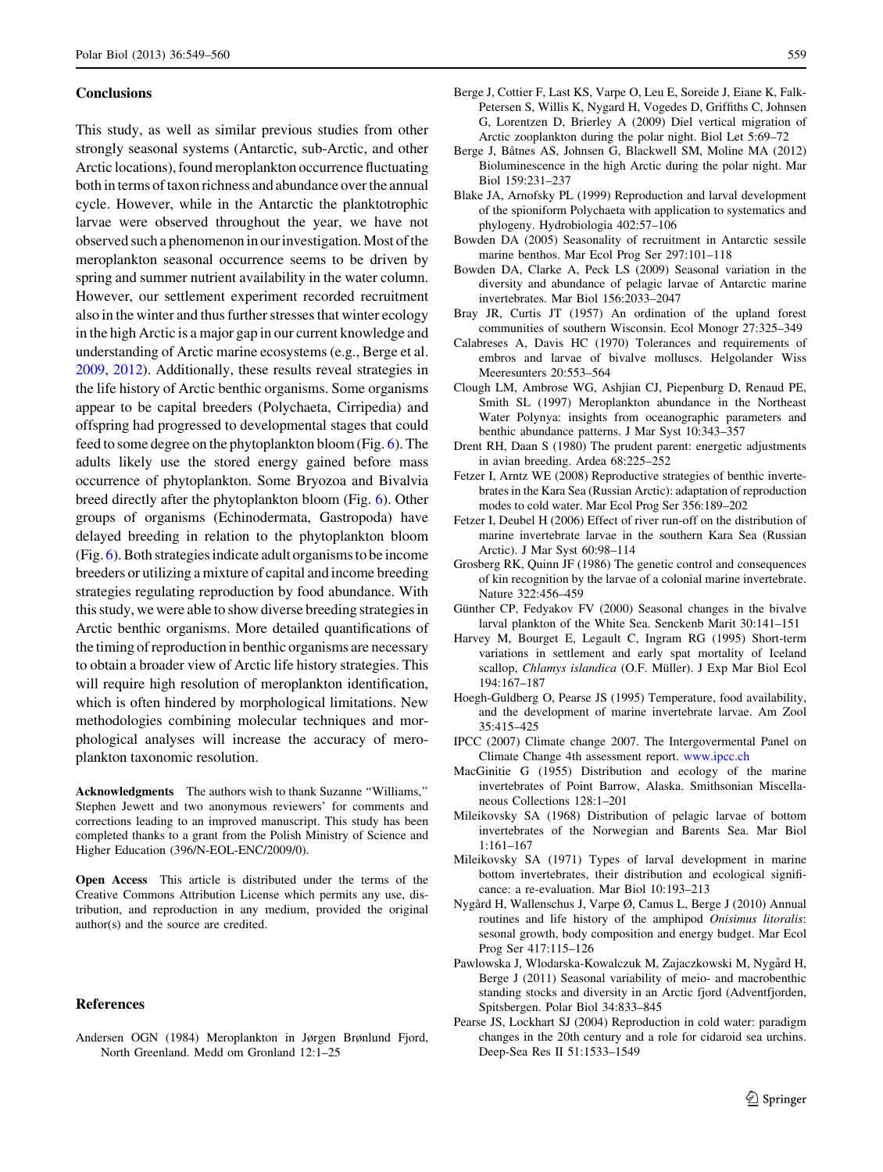#### <span id="page-10-0"></span>**Conclusions**

This study, as well as similar previous studies from other strongly seasonal systems (Antarctic, sub-Arctic, and other Arctic locations), found meroplankton occurrence fluctuating both in terms of taxon richness and abundance over the annual cycle. However, while in the Antarctic the planktotrophic larvae were observed throughout the year, we have not observed such a phenomenon in our investigation. Most of the meroplankton seasonal occurrence seems to be driven by spring and summer nutrient availability in the water column. However, our settlement experiment recorded recruitment also in the winter and thus further stresses that winter ecology in the high Arctic is a major gap in our current knowledge and understanding of Arctic marine ecosystems (e.g., Berge et al. 2009, 2012). Additionally, these results reveal strategies in the life history of Arctic benthic organisms. Some organisms appear to be capital breeders (Polychaeta, Cirripedia) and offspring had progressed to developmental stages that could feed to some degree on the phytoplankton bloom (Fig. [6](#page-9-0)). The adults likely use the stored energy gained before mass occurrence of phytoplankton. Some Bryozoa and Bivalvia breed directly after the phytoplankton bloom (Fig. [6](#page-9-0)). Other groups of organisms (Echinodermata, Gastropoda) have delayed breeding in relation to the phytoplankton bloom (Fig. [6](#page-9-0)). Both strategies indicate adult organisms to be income breeders or utilizing a mixture of capital and income breeding strategies regulating reproduction by food abundance. With this study, we were able to show diverse breeding strategies in Arctic benthic organisms. More detailed quantifications of the timing of reproduction in benthic organisms are necessary to obtain a broader view of Arctic life history strategies. This will require high resolution of meroplankton identification, which is often hindered by morphological limitations. New methodologies combining molecular techniques and morphological analyses will increase the accuracy of meroplankton taxonomic resolution.

Acknowledgments The authors wish to thank Suzanne ''Williams,'' Stephen Jewett and two anonymous reviewers' for comments and corrections leading to an improved manuscript. This study has been completed thanks to a grant from the Polish Ministry of Science and Higher Education (396/N-EOL-ENC/2009/0).

Open Access This article is distributed under the terms of the Creative Commons Attribution License which permits any use, distribution, and reproduction in any medium, provided the original author(s) and the source are credited.

#### References

Andersen OGN (1984) Meroplankton in Jørgen Brønlund Fjord, North Greenland. Medd om Gronland 12:1–25

- Berge J, Cottier F, Last KS, Varpe O, Leu E, Soreide J, Eiane K, Falk-Petersen S, Willis K, Nygard H, Vogedes D, Griffiths C, Johnsen G, Lorentzen D, Brierley A (2009) Diel vertical migration of Arctic zooplankton during the polar night. Biol Let 5:69–72
- Berge J, Båtnes AS, Johnsen G, Blackwell SM, Moline MA (2012) Bioluminescence in the high Arctic during the polar night. Mar Biol 159:231–237
- Blake JA, Arnofsky PL (1999) Reproduction and larval development of the spioniform Polychaeta with application to systematics and phylogeny. Hydrobiologia 402:57–106
- Bowden DA (2005) Seasonality of recruitment in Antarctic sessile marine benthos. Mar Ecol Prog Ser 297:101–118
- Bowden DA, Clarke A, Peck LS (2009) Seasonal variation in the diversity and abundance of pelagic larvae of Antarctic marine invertebrates. Mar Biol 156:2033–2047
- Bray JR, Curtis JT (1957) An ordination of the upland forest communities of southern Wisconsin. Ecol Monogr 27:325–349
- Calabreses A, Davis HC (1970) Tolerances and requirements of embros and larvae of bivalve molluscs. Helgolander Wiss Meeresunters 20:553–564
- Clough LM, Ambrose WG, Ashjian CJ, Piepenburg D, Renaud PE, Smith SL (1997) Meroplankton abundance in the Northeast Water Polynya: insights from oceanographic parameters and benthic abundance patterns. J Mar Syst 10:343–357
- Drent RH, Daan S (1980) The prudent parent: energetic adjustments in avian breeding. Ardea 68:225–252
- Fetzer I, Arntz WE (2008) Reproductive strategies of benthic invertebrates in the Kara Sea (Russian Arctic): adaptation of reproduction modes to cold water. Mar Ecol Prog Ser 356:189–202
- Fetzer I, Deubel H (2006) Effect of river run-off on the distribution of marine invertebrate larvae in the southern Kara Sea (Russian Arctic). J Mar Syst 60:98–114
- Grosberg RK, Quinn JF (1986) The genetic control and consequences of kin recognition by the larvae of a colonial marine invertebrate. Nature 322:456–459
- Günther CP, Fedyakov FV (2000) Seasonal changes in the bivalve larval plankton of the White Sea. Senckenb Marit 30:141–151
- Harvey M, Bourget E, Legault C, Ingram RG (1995) Short-term variations in settlement and early spat mortality of Iceland scallop, Chlamys islandica (O.F. Müller). J Exp Mar Biol Ecol 194:167–187
- Hoegh-Guldberg O, Pearse JS (1995) Temperature, food availability, and the development of marine invertebrate larvae. Am Zool 35:415–425
- IPCC (2007) Climate change 2007. The Intergovermental Panel on Climate Change 4th assessment report. [www.ipcc.ch](http://www.ipcc.ch)
- MacGinitie G (1955) Distribution and ecology of the marine invertebrates of Point Barrow, Alaska. Smithsonian Miscellaneous Collections 128:1–201
- Mileikovsky SA (1968) Distribution of pelagic larvae of bottom invertebrates of the Norwegian and Barents Sea. Mar Biol 1:161–167
- Mileikovsky SA (1971) Types of larval development in marine bottom invertebrates, their distribution and ecological significance: a re-evaluation. Mar Biol 10:193–213
- Nygård H, Wallenschus J, Varpe Ø, Camus L, Berge J (2010) Annual routines and life history of the amphipod Onisimus litoralis: sesonal growth, body composition and energy budget. Mar Ecol Prog Ser 417:115–126
- Pawlowska J, Wlodarska-Kowalczuk M, Zajaczkowski M, Nygård H, Berge J (2011) Seasonal variability of meio- and macrobenthic standing stocks and diversity in an Arctic fjord (Adventfjorden, Spitsbergen. Polar Biol 34:833–845
- Pearse JS, Lockhart SJ (2004) Reproduction in cold water: paradigm changes in the 20th century and a role for cidaroid sea urchins. Deep-Sea Res II 51:1533–1549